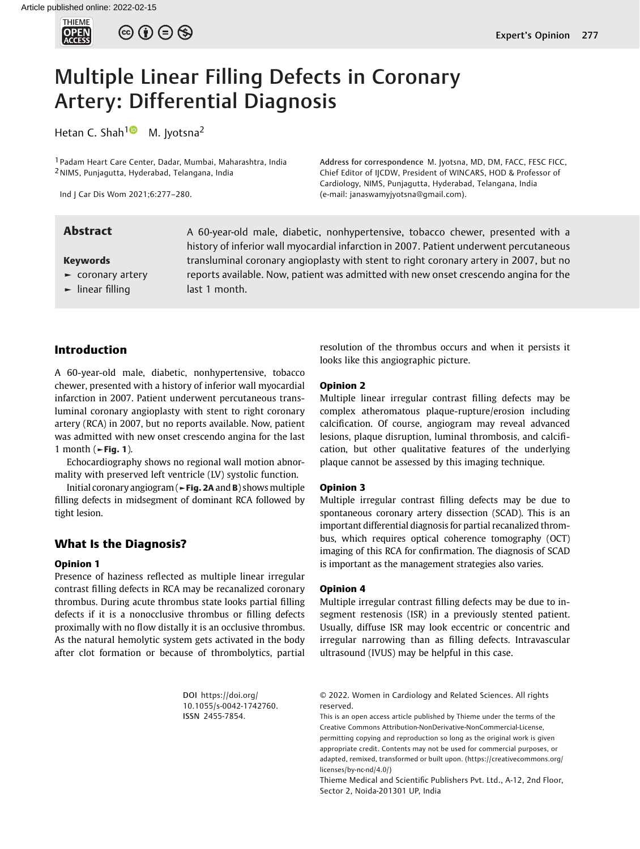

# Multiple Linear Filling Defects in Coronary Artery: Differential Diagnosis

Hetan C. Shah<sup>1</sup> M. Jyotsna<sup>2</sup>

1 Padam Heart Care Center, Dadar, Mumbai, Maharashtra, India 2NIMS, Punjagutta, Hyderabad, Telangana, India

Ind J Car Dis Wom 2021;6:277–280.

Keywords

- ► coronary artery
- ► linear filling

Abstract A 60-year-old male, diabetic, nonhypertensive, tobacco chewer, presented with a history of inferior wall myocardial infarction in 2007. Patient underwent percutaneous transluminal coronary angioplasty with stent to right coronary artery in 2007, but no reports available. Now, patient was admitted with new onset crescendo angina for the last 1 month.

(e-mail: [janaswamyjyotsna@gmail.com](mailto:janaswamyjyotsna@gmail.com)).

# Introduction

A 60-year-old male, diabetic, nonhypertensive, tobacco chewer, presented with a history of inferior wall myocardial infarction in 2007. Patient underwent percutaneous transluminal coronary angioplasty with stent to right coronary artery (RCA) in 2007, but no reports available. Now, patient was admitted with new onset crescendo angina for the last 1 month ( $\blacktriangleright$ Fig. 1).

Echocardiography shows no regional wall motion abnormality with preserved left ventricle (LV) systolic function.

Initial coronary angiogram (►Fig. 2A and B) shows multiple filling defects in midsegment of dominant RCA followed by tight lesion.

# What Is the Diagnosis?

#### Opinion 1

Presence of haziness reflected as multiple linear irregular contrast filling defects in RCA may be recanalized coronary thrombus. During acute thrombus state looks partial filling defects if it is a nonocclusive thrombus or filling defects proximally with no flow distally it is an occlusive thrombus. As the natural hemolytic system gets activated in the body after clot formation or because of thrombolytics, partial

> DOI [https://doi.org/](https://doi.org/10.1055/s-0042-1742760) [10.1055/s-0042-1742760](https://doi.org/10.1055/s-0042-1742760). ISSN 2455-7854.

resolution of the thrombus occurs and when it persists it looks like this angiographic picture.

Address for correspondence M. Jyotsna, MD, DM, FACC, FESC FICC, Chief Editor of IJCDW, President of WINCARS, HOD & Professor of Cardiology, NIMS, Punjagutta, Hyderabad, Telangana, India

### Opinion 2

Multiple linear irregular contrast filling defects may be complex atheromatous plaque-rupture/erosion including calcification. Of course, angiogram may reveal advanced lesions, plaque disruption, luminal thrombosis, and calcification, but other qualitative features of the underlying plaque cannot be assessed by this imaging technique.

#### Opinion 3

Multiple irregular contrast filling defects may be due to spontaneous coronary artery dissection (SCAD). This is an important differential diagnosis for partial recanalized thrombus, which requires optical coherence tomography (OCT) imaging of this RCA for confirmation. The diagnosis of SCAD is important as the management strategies also varies.

#### Opinion 4

Multiple irregular contrast filling defects may be due to insegment restenosis (ISR) in a previously stented patient. Usually, diffuse ISR may look eccentric or concentric and irregular narrowing than as filling defects. Intravascular ultrasound (IVUS) may be helpful in this case.

This is an open access article published by Thieme under the terms of the Creative Commons Attribution-NonDerivative-NonCommercial-License, permitting copying and reproduction so long as the original work is given appropriate credit. Contents may not be used for commercial purposes, or adapted, remixed, transformed or built upon. (https://creativecommons.org/ licenses/by-nc-nd/4.0/)

Thieme Medical and Scientific Publishers Pvt. Ltd., A-12, 2nd Floor, Sector 2, Noida-201301 UP, India

<sup>© 2022.</sup> Women in Cardiology and Related Sciences. All rights reserved.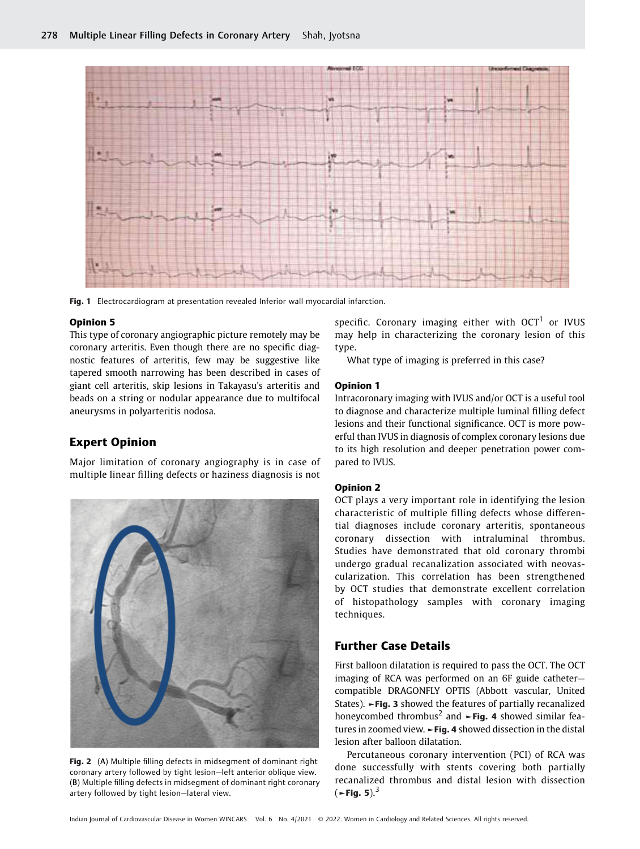

Fig. 1 Electrocardiogram at presentation revealed Inferior wall myocardial infarction.

#### Opinion 5

This type of coronary angiographic picture remotely may be coronary arteritis. Even though there are no specific diagnostic features of arteritis, few may be suggestive like tapered smooth narrowing has been described in cases of giant cell arteritis, skip lesions in Takayasu's arteritis and beads on a string or nodular appearance due to multifocal aneurysms in polyarteritis nodosa.

# Expert Opinion

Major limitation of coronary angiography is in case of multiple linear filling defects or haziness diagnosis is not



Fig. 2 (A) Multiple filling defects in midseqment of dominant right coronary artery followed by tight lesion—left anterior oblique view. (B) Multiple filling defects in midsegment of dominant right coronary artery followed by tight lesion—lateral view.

specific. Coronary imaging either with  $OCT<sup>1</sup>$  or IVUS may help in characterizing the coronary lesion of this type.

What type of imaging is preferred in this case?

#### Opinion 1

Intracoronary imaging with IVUS and/or OCT is a useful tool to diagnose and characterize multiple luminal filling defect lesions and their functional significance. OCT is more powerful than IVUS in diagnosis of complex coronary lesions due to its high resolution and deeper penetration power compared to IVUS.

#### Opinion 2

OCT plays a very important role in identifying the lesion characteristic of multiple filling defects whose differential diagnoses include coronary arteritis, spontaneous coronary dissection with intraluminal thrombus. Studies have demonstrated that old coronary thrombi undergo gradual recanalization associated with neovascularization. This correlation has been strengthened by OCT studies that demonstrate excellent correlation of histopathology samples with coronary imaging techniques.

# Further Case Details

First balloon dilatation is required to pass the OCT. The OCT imaging of RCA was performed on an 6F guide catheter compatible DRAGONFLY OPTIS (Abbott vascular, United States). ►Fig. 3 showed the features of partially recanalized honeycombed thrombus<sup>2</sup> and  $\rightarrow$ **Fig. 4** showed similar features in zoomed view. ►Fig. 4 showed dissection in the distal lesion after balloon dilatation.

Percutaneous coronary intervention (PCI) of RCA was done successfully with stents covering both partially recanalized thrombus and distal lesion with dissection  $(-$ Fig. 5).<sup>3</sup>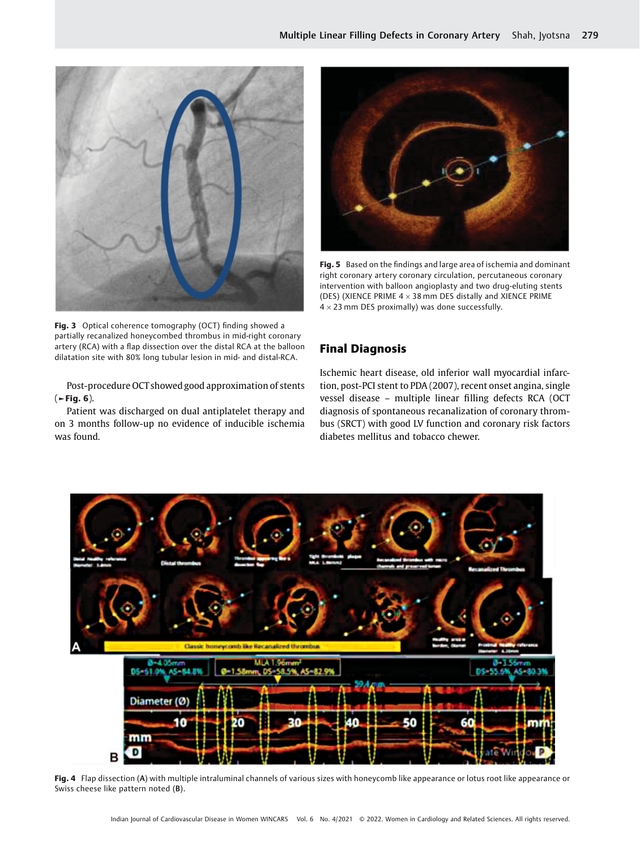

Fig. 3 Optical coherence tomography (OCT) finding showed a partially recanalized honeycombed thrombus in mid-right coronary artery (RCA) with a flap dissection over the distal RCA at the balloon dilatation site with 80% long tubular lesion in mid- and distal-RCA.

Post-procedure OCT showed good approximation of stents  $($   $\blacktriangleright$  Fig. 6).

Patient was discharged on dual antiplatelet therapy and on 3 months follow-up no evidence of inducible ischemia was found.



Fig. 5 Based on the findings and large area of ischemia and dominant right coronary artery coronary circulation, percutaneous coronary intervention with balloon angioplasty and two drug-eluting stents (DES) (XIENCE PRIME  $4 \times 38$  mm DES distally and XIENCE PRIME  $4 \times 23$  mm DES proximally) was done successfully.

# Final Diagnosis

Ischemic heart disease, old inferior wall myocardial infarction, post-PCI stent to PDA (2007), recent onset angina, single vessel disease – multiple linear filling defects RCA (OCT diagnosis of spontaneous recanalization of coronary thrombus (SRCT) with good LV function and coronary risk factors diabetes mellitus and tobacco chewer.



Fig. 4 Flap dissection (A) with multiple intraluminal channels of various sizes with honeycomb like appearance or lotus root like appearance or Swiss cheese like pattern noted (B).